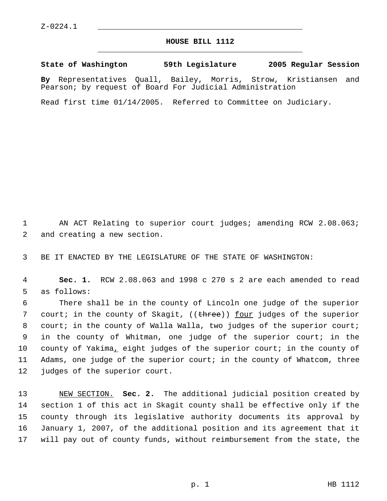## **HOUSE BILL 1112** \_\_\_\_\_\_\_\_\_\_\_\_\_\_\_\_\_\_\_\_\_\_\_\_\_\_\_\_\_\_\_\_\_\_\_\_\_\_\_\_\_\_\_\_\_

**State of Washington 59th Legislature 2005 Regular Session By** Representatives Quall, Bailey, Morris, Strow, Kristiansen and Pearson; by request of Board For Judicial Administration

Read first time 01/14/2005. Referred to Committee on Judiciary.

1 AN ACT Relating to superior court judges; amending RCW 2.08.063; 2 and creating a new section.

3 BE IT ENACTED BY THE LEGISLATURE OF THE STATE OF WASHINGTON:

 4 **Sec. 1.** RCW 2.08.063 and 1998 c 270 s 2 are each amended to read 5 as follows:

 There shall be in the county of Lincoln one judge of the superior 7 court; in the county of Skagit, ((<del>three</del>)) <u>four</u> judges of the superior court; in the county of Walla Walla, two judges of the superior court; in the county of Whitman, one judge of the superior court; in the county of Yakima, eight judges of the superior court; in the county of Adams, one judge of the superior court; in the county of Whatcom, three judges of the superior court.

 NEW SECTION. **Sec. 2.** The additional judicial position created by section 1 of this act in Skagit county shall be effective only if the county through its legislative authority documents its approval by January 1, 2007, of the additional position and its agreement that it will pay out of county funds, without reimbursement from the state, the